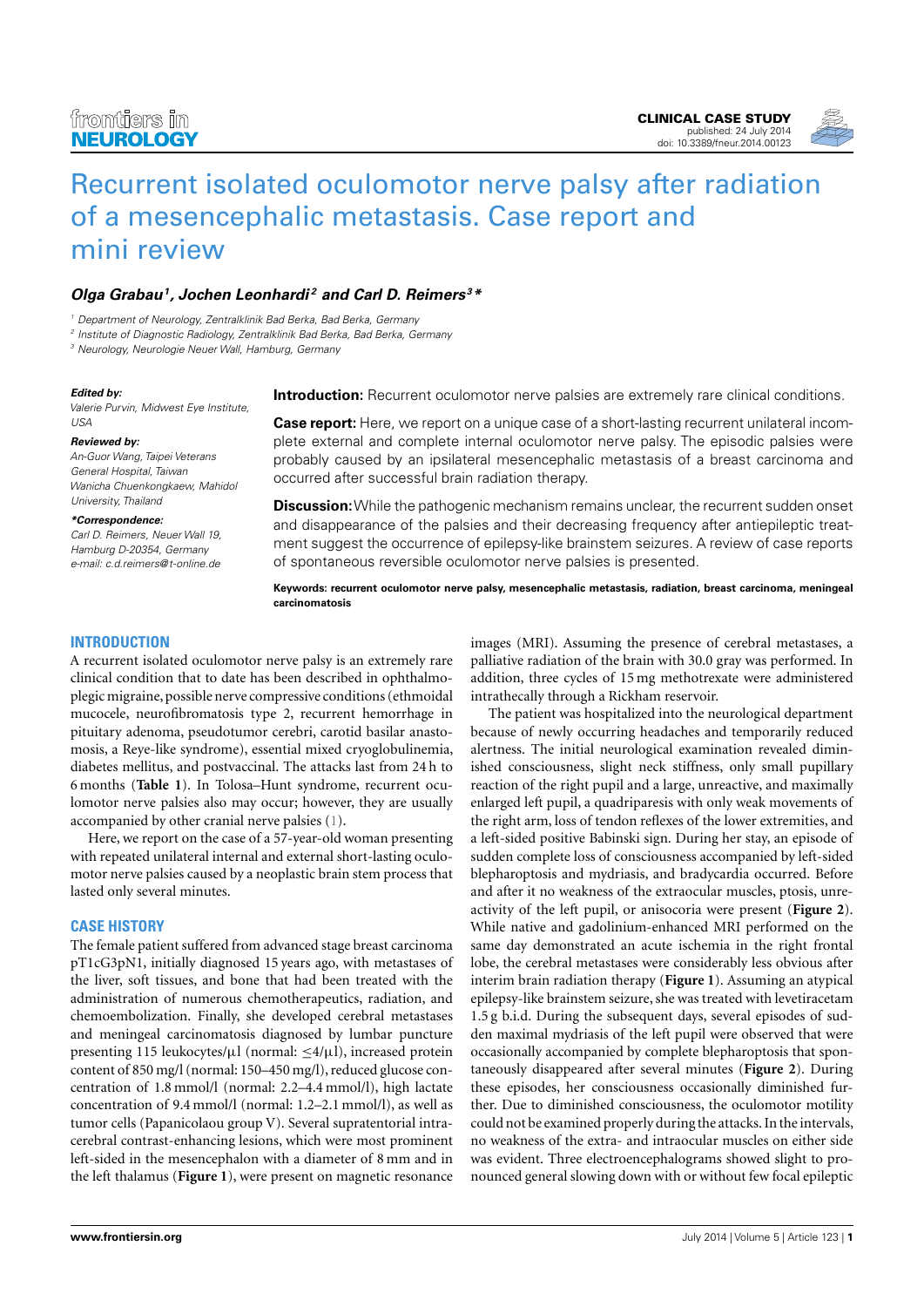

# [Recurrent isolated oculomotor nerve palsy after radiation](http://www.frontiersin.org/Journal/10.3389/fneur.2014.00123/abstract) [of a mesencephalic metastasis. Case report and](http://www.frontiersin.org/Journal/10.3389/fneur.2014.00123/abstract) [mini review](http://www.frontiersin.org/Journal/10.3389/fneur.2014.00123/abstract)

## **[Olga Grabau](http://www.frontiersin.org/people/u/172262)<sup>1</sup> , [Jochen Leonhardi](http://www.frontiersin.org/people/u/171534) <sup>2</sup> and [Carl D. Reimers](http://www.frontiersin.org/people/u/141206) <sup>3</sup>\***

<sup>1</sup> Department of Neurology, Zentralklinik Bad Berka, Bad Berka, Germany

2 Institute of Diagnostic Radiology, Zentralklinik Bad Berka, Bad Berka, Germany

<sup>3</sup> Neurology, Neurologie Neuer Wall, Hamburg, Germany

#### **Edited by:**

Valerie Purvin, Midwest Eye Institute, USA

#### **Reviewed by:**

An-Guor Wang, Taipei Veterans General Hospital, Taiwan Wanicha Chuenkongkaew, Mahidol University, Thailand

#### **\*Correspondence:**

Carl D. Reimers, Neuer Wall 19, Hamburg D-20354, Germany e-mail: [c.d.reimers@t-online.de](mailto:c.d.reimers@t-online.de)

**Introduction:** Recurrent oculomotor nerve palsies are extremely rare clinical conditions.

**Case report:** Here, we report on a unique case of a short-lasting recurrent unilateral incomplete external and complete internal oculomotor nerve palsy. The episodic palsies were probably caused by an ipsilateral mesencephalic metastasis of a breast carcinoma and occurred after successful brain radiation therapy.

**Discussion:**While the pathogenic mechanism remains unclear, the recurrent sudden onset and disappearance of the palsies and their decreasing frequency after antiepileptic treatment suggest the occurrence of epilepsy-like brainstem seizures. A review of case reports of spontaneous reversible oculomotor nerve palsies is presented.

**Keywords: recurrent oculomotor nerve palsy, mesencephalic metastasis, radiation, breast carcinoma, meningeal carcinomatosis**

## **INTRODUCTION**

A recurrent isolated oculomotor nerve palsy is an extremely rare clinical condition that to date has been described in ophthalmoplegic migraine, possible nerve compressive conditions (ethmoidal mucocele, neurofibromatosis type 2, recurrent hemorrhage in pituitary adenoma, pseudotumor cerebri, carotid basilar anastomosis, a Reye-like syndrome), essential mixed cryoglobulinemia, diabetes mellitus, and postvaccinal. The attacks last from 24 h to 6 months (**[Table 1](#page-1-0)**). In Tolosa–Hunt syndrome, recurrent oculomotor nerve palsies also may occur; however, they are usually accompanied by other cranial nerve palsies [\(1\)](#page-3-0).

Here, we report on the case of a 57-year-old woman presenting with repeated unilateral internal and external short-lasting oculomotor nerve palsies caused by a neoplastic brain stem process that lasted only several minutes.

## **CASE HISTORY**

The female patient suffered from advanced stage breast carcinoma pT1cG3pN1, initially diagnosed 15 years ago, with metastases of the liver, soft tissues, and bone that had been treated with the administration of numerous chemotherapeutics, radiation, and chemoembolization. Finally, she developed cerebral metastases and meningeal carcinomatosis diagnosed by lumbar puncture presenting 115 leukocytes/ $\mu$ l (normal:  $\leq 4/\mu$ l), increased protein content of 850 mg/l (normal: 150–450 mg/l), reduced glucose concentration of 1.8 mmol/l (normal: 2.2–4.4 mmol/l), high lactate concentration of 9.4 mmol/l (normal: 1.2–2.1 mmol/l), as well as tumor cells (Papanicolaou group V). Several supratentorial intracerebral contrast-enhancing lesions, which were most prominent left-sided in the mesencephalon with a diameter of 8 mm and in the left thalamus (**[Figure 1](#page-2-0)**), were present on magnetic resonance

images (MRI). Assuming the presence of cerebral metastases, a palliative radiation of the brain with 30.0 gray was performed. In addition, three cycles of 15 mg methotrexate were administered intrathecally through a Rickham reservoir.

The patient was hospitalized into the neurological department because of newly occurring headaches and temporarily reduced alertness. The initial neurological examination revealed diminished consciousness, slight neck stiffness, only small pupillary reaction of the right pupil and a large, unreactive, and maximally enlarged left pupil, a quadriparesis with only weak movements of the right arm, loss of tendon reflexes of the lower extremities, and a left-sided positive Babinski sign. During her stay, an episode of sudden complete loss of consciousness accompanied by left-sided blepharoptosis and mydriasis, and bradycardia occurred. Before and after it no weakness of the extraocular muscles, ptosis, unreactivity of the left pupil, or anisocoria were present (**[Figure 2](#page-2-1)**). While native and gadolinium-enhanced MRI performed on the same day demonstrated an acute ischemia in the right frontal lobe, the cerebral metastases were considerably less obvious after interim brain radiation therapy (**[Figure 1](#page-2-0)**). Assuming an atypical epilepsy-like brainstem seizure, she was treated with levetiracetam 1.5 g b.i.d. During the subsequent days, several episodes of sudden maximal mydriasis of the left pupil were observed that were occasionally accompanied by complete blepharoptosis that spontaneously disappeared after several minutes (**[Figure 2](#page-2-1)**). During these episodes, her consciousness occasionally diminished further. Due to diminished consciousness, the oculomotor motility could not be examined properly during the attacks. In the intervals, no weakness of the extra- and intraocular muscles on either side was evident. Three electroencephalograms showed slight to pronounced general slowing down with or without few focal epileptic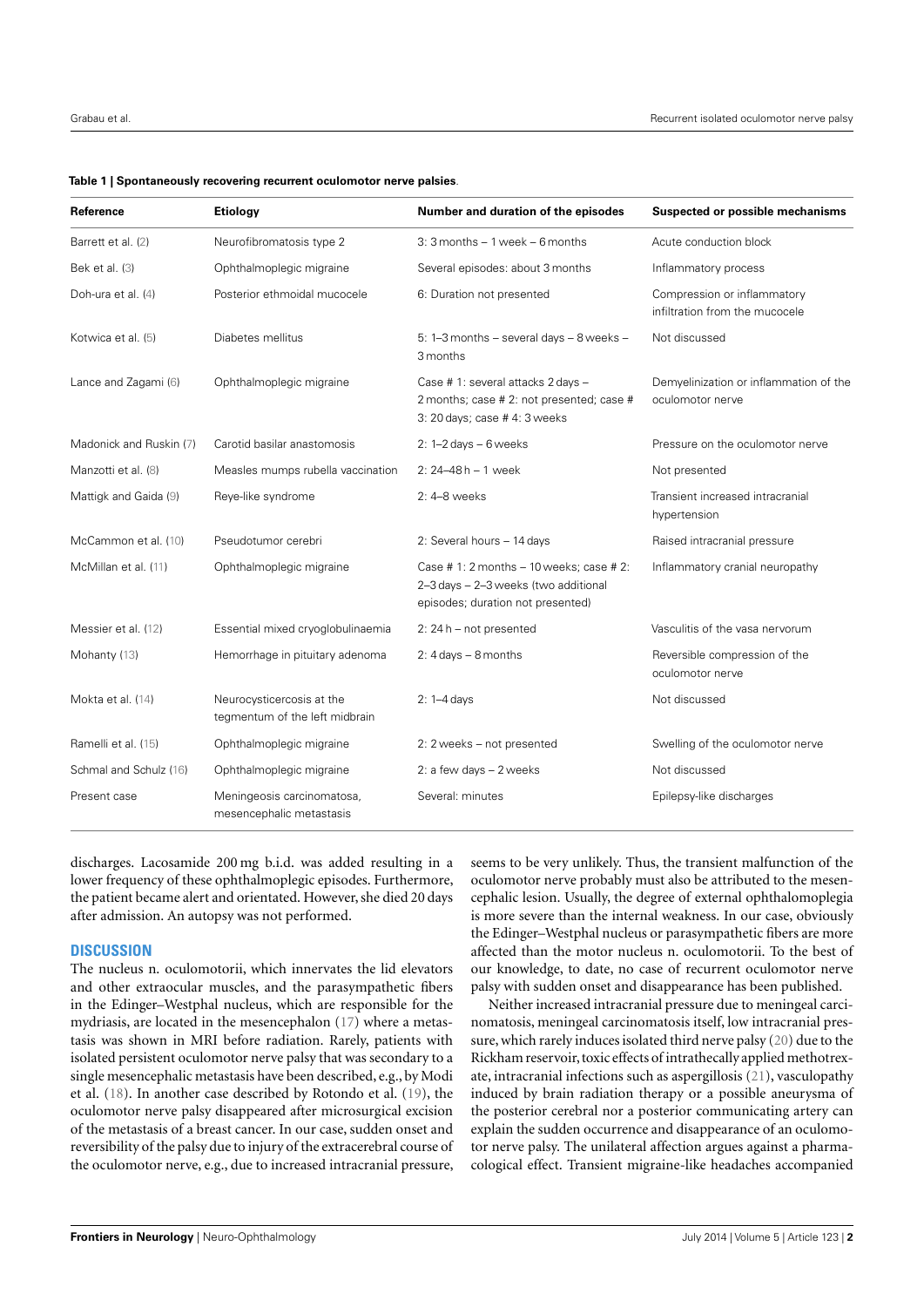<span id="page-1-0"></span>

|  |  |  | Table 1   Spontaneously recovering recurrent oculomotor nerve palsies. |
|--|--|--|------------------------------------------------------------------------|
|--|--|--|------------------------------------------------------------------------|

| Reference               | Etiology                                                    | Number and duration of the episodes                                                                                    | <b>Suspected or possible mechanisms</b>                       |
|-------------------------|-------------------------------------------------------------|------------------------------------------------------------------------------------------------------------------------|---------------------------------------------------------------|
| Barrett et al. (2)      | Neurofibromatosis type 2                                    | $3:3$ months $-1$ week $-6$ months                                                                                     | Acute conduction block                                        |
| Bek et al. (3)          | Ophthalmoplegic migraine                                    | Several episodes: about 3 months                                                                                       | Inflammatory process                                          |
| Doh-ura et al. (4)      | Posterior ethmoidal mucocele                                | 6: Duration not presented                                                                                              | Compression or inflammatory<br>infiltration from the mucocele |
| Kotwica et al. (5)      | Diabetes mellitus                                           | 5: 1-3 months - several days - 8 weeks -<br>3 months                                                                   | Not discussed                                                 |
| Lance and Zagami (6)    | Ophthalmoplegic migraine                                    | Case # 1: several attacks 2 days -<br>2 months; case # 2: not presented; case #<br>3: 20 days; case #4: 3 weeks        | Demyelinization or inflammation of the<br>oculomotor nerve    |
| Madonick and Ruskin (7) | Carotid basilar anastomosis                                 | 2: $1-2$ days $-6$ weeks                                                                                               | Pressure on the oculomotor nerve                              |
| Manzotti et al. (8)     | Measles mumps rubella vaccination                           | $2: 24 - 48 h - 1$ week                                                                                                | Not presented                                                 |
| Mattigk and Gaida (9)   | Reye-like syndrome                                          | 2: 4-8 weeks                                                                                                           | Transient increased intracranial<br>hypertension              |
| McCammon et al. (10)    | Pseudotumor cerebri                                         | 2: Several hours - 14 days                                                                                             | Raised intracranial pressure                                  |
| McMillan et al. (11)    | Ophthalmoplegic migraine                                    | Case #1: $2$ months $-10$ weeks; case #2:<br>2-3 days - 2-3 weeks (two additional<br>episodes; duration not presented) | Inflammatory cranial neuropathy                               |
| Messier et al. (12)     | Essential mixed cryoglobulinaemia                           | 2: $24 h$ – not presented                                                                                              | Vasculitis of the vasa nervorum                               |
| Mohanty (13)            | Hemorrhage in pituitary adenoma                             | 2: $4 \text{ days} - 8 \text{ months}$                                                                                 | Reversible compression of the<br>oculomotor nerve             |
| Mokta et al. (14)       | Neurocysticercosis at the<br>tegmentum of the left midbrain | $2: 1-4$ days                                                                                                          | Not discussed                                                 |
| Ramelli et al. (15)     | Ophthalmoplegic migraine                                    | 2: 2 weeks - not presented                                                                                             | Swelling of the oculomotor nerve                              |
| Schmal and Schulz (16)  | Ophthalmoplegic migraine                                    | 2: a few days - 2 weeks                                                                                                | Not discussed                                                 |
| Present case            | Meningeosis carcinomatosa,<br>mesencephalic metastasis      | Several: minutes                                                                                                       | Epilepsy-like discharges                                      |

discharges. Lacosamide 200 mg b.i.d. was added resulting in a lower frequency of these ophthalmoplegic episodes. Furthermore, the patient became alert and orientated. However, she died 20 days after admission. An autopsy was not performed.

### **DISCUSSION**

The nucleus n. oculomotorii, which innervates the lid elevators and other extraocular muscles, and the parasympathetic fibers in the Edinger–Westphal nucleus, which are responsible for the mydriasis, are located in the mesencephalon [\(17\)](#page-3-16) where a metastasis was shown in MRI before radiation. Rarely, patients with isolated persistent oculomotor nerve palsy that was secondary to a single mesencephalic metastasis have been described, e.g., by Modi et al. [\(18\)](#page-3-17). In another case described by Rotondo et al. [\(19\)](#page-3-18), the oculomotor nerve palsy disappeared after microsurgical excision of the metastasis of a breast cancer. In our case, sudden onset and reversibility of the palsy due to injury of the extracerebral course of the oculomotor nerve, e.g., due to increased intracranial pressure, seems to be very unlikely. Thus, the transient malfunction of the oculomotor nerve probably must also be attributed to the mesencephalic lesion. Usually, the degree of external ophthalomoplegia is more severe than the internal weakness. In our case, obviously the Edinger–Westphal nucleus or parasympathetic fibers are more affected than the motor nucleus n. oculomotorii. To the best of our knowledge, to date, no case of recurrent oculomotor nerve palsy with sudden onset and disappearance has been published.

Neither increased intracranial pressure due to meningeal carcinomatosis, meningeal carcinomatosis itself, low intracranial pressure, which rarely induces isolated third nerve palsy [\(20\)](#page-3-19) due to the Rickham reservoir, toxic effects of intrathecally applied methotrexate, intracranial infections such as aspergillosis [\(21\)](#page-3-20), vasculopathy induced by brain radiation therapy or a possible aneurysma of the posterior cerebral nor a posterior communicating artery can explain the sudden occurrence and disappearance of an oculomotor nerve palsy. The unilateral affection argues against a pharmacological effect. Transient migraine-like headaches accompanied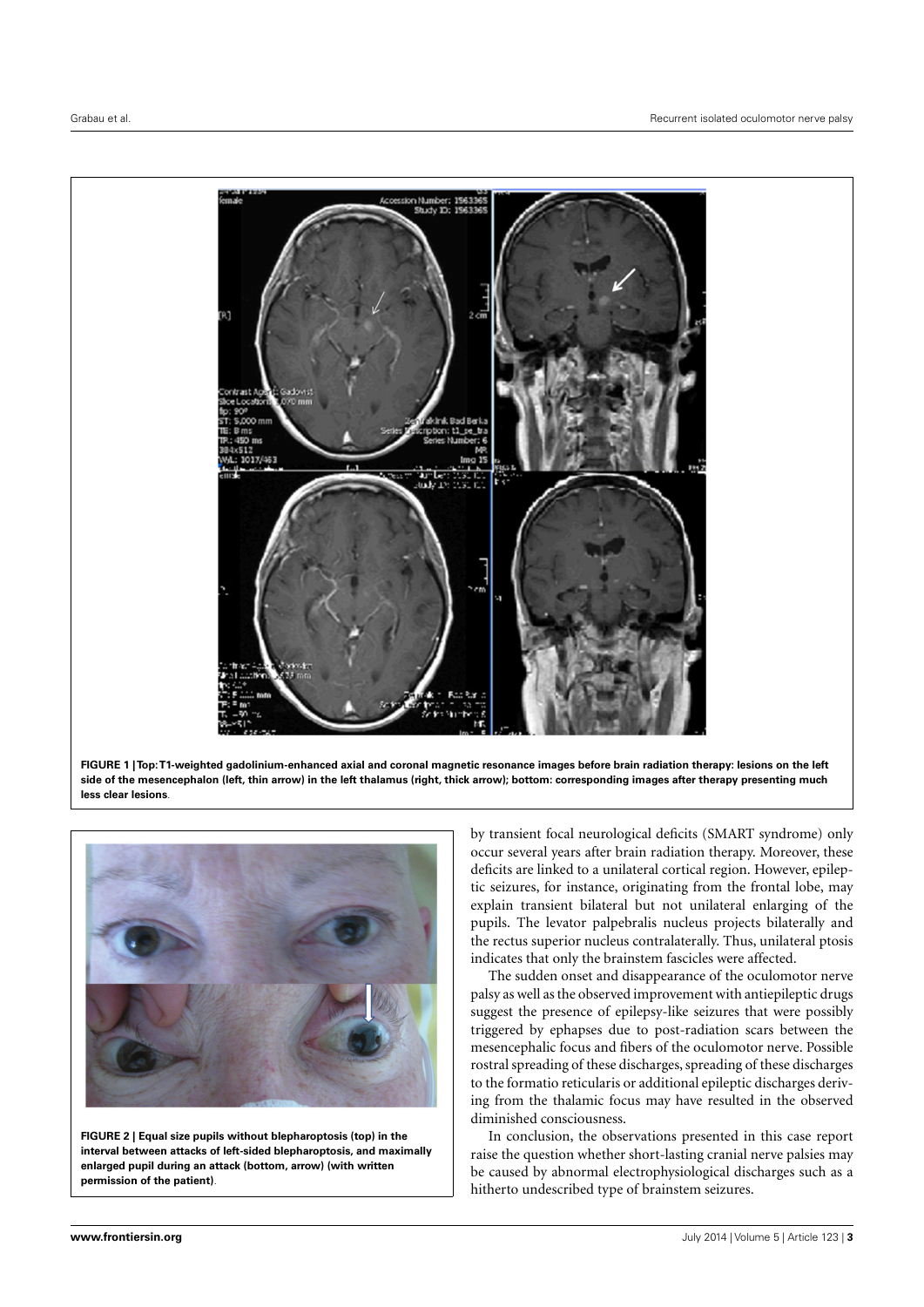

<span id="page-2-0"></span>**FIGURE 1 | Top:T1-weighted gadolinium-enhanced axial and coronal magnetic resonance images before brain radiation therapy: lesions on the left side of the mesencephalon (left, thin arrow) in the left thalamus (right, thick arrow); bottom: corresponding images after therapy presenting much less clear lesions**.

<span id="page-2-1"></span>

**FIGURE 2 | Equal size pupils without blepharoptosis (top) in the interval between attacks of left-sided blepharoptosis, and maximally enlarged pupil during an attack (bottom, arrow) (with written permission of the patient)**.

by transient focal neurological deficits (SMART syndrome) only occur several years after brain radiation therapy. Moreover, these deficits are linked to a unilateral cortical region. However, epileptic seizures, for instance, originating from the frontal lobe, may explain transient bilateral but not unilateral enlarging of the pupils. The levator palpebralis nucleus projects bilaterally and the rectus superior nucleus contralaterally. Thus, unilateral ptosis indicates that only the brainstem fascicles were affected.

The sudden onset and disappearance of the oculomotor nerve palsy as well as the observed improvement with antiepileptic drugs suggest the presence of epilepsy-like seizures that were possibly triggered by ephapses due to post-radiation scars between the mesencephalic focus and fibers of the oculomotor nerve. Possible rostral spreading of these discharges, spreading of these discharges to the formatio reticularis or additional epileptic discharges deriving from the thalamic focus may have resulted in the observed diminished consciousness.

In conclusion, the observations presented in this case report raise the question whether short-lasting cranial nerve palsies may be caused by abnormal electrophysiological discharges such as a hitherto undescribed type of brainstem seizures.